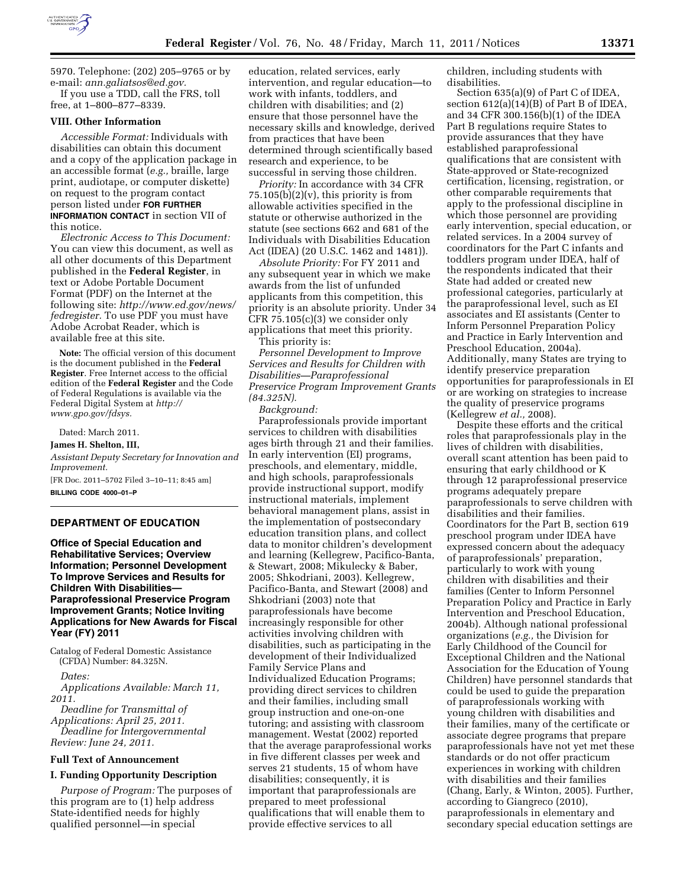

5970. Telephone: (202) 205–9765 or by e-mail: *[ann.galiatsos@ed.gov.](mailto:ann.galiatsos@ed.gov)*  If you use a TDD, call the FRS, toll

# free, at 1–800–877–8339. **VIII. Other Information**

*Accessible Format:* Individuals with disabilities can obtain this document and a copy of the application package in an accessible format (*e.g.,* braille, large print, audiotape, or computer diskette) on request to the program contact person listed under **FOR FURTHER INFORMATION CONTACT** in section VII of this notice.

*Electronic Access to This Document:*  You can view this document, as well as all other documents of this Department published in the **Federal Register**, in text or Adobe Portable Document Format (PDF) on the Internet at the following site: *[http://www.ed.gov/news/](http://www.ed.gov/news/fedregister) [fedregister.](http://www.ed.gov/news/fedregister)* To use PDF you must have Adobe Acrobat Reader, which is available free at this site.

**Note:** The official version of this document is the document published in the **Federal Register**. Free Internet access to the official edition of the **Federal Register** and the Code of Federal Regulations is available via the Federal Digital System at *[http://](http://www.gpo.gov/fdsys)  [www.gpo.gov/fdsys.](http://www.gpo.gov/fdsys)* 

Dated: March 2011.

**James H. Shelton, III,** 

*Assistant Deputy Secretary for Innovation and Improvement.* 

[FR Doc. 2011–5702 Filed 3–10–11; 8:45 am] **BILLING CODE 4000–01–P** 

# **DEPARTMENT OF EDUCATION**

**Office of Special Education and Rehabilitative Services; Overview Information; Personnel Development To Improve Services and Results for Children With Disabilities— Paraprofessional Preservice Program Improvement Grants; Notice Inviting Applications for New Awards for Fiscal Year (FY) 2011** 

Catalog of Federal Domestic Assistance (CFDA) Number: 84.325N.

*Dates:* 

*Applications Available: March 11, 2011.* 

*Deadline for Transmittal of Applications: April 25, 2011. Deadline for Intergovernmental Review: June 24, 2011.* 

# **Full Text of Announcement**

# **I. Funding Opportunity Description**

*Purpose of Program:* The purposes of this program are to (1) help address State-identified needs for highly qualified personnel—in special

education, related services, early intervention, and regular education—to work with infants, toddlers, and children with disabilities; and (2) ensure that those personnel have the necessary skills and knowledge, derived from practices that have been determined through scientifically based research and experience, to be successful in serving those children.

*Priority:* In accordance with 34 CFR  $75.105(b)(2)(v)$ , this priority is from allowable activities specified in the statute or otherwise authorized in the statute (see sections 662 and 681 of the Individuals with Disabilities Education Act (IDEA) (20 U.S.C. 1462 and 1481)).

*Absolute Priority:* For FY 2011 and any subsequent year in which we make awards from the list of unfunded applicants from this competition, this priority is an absolute priority. Under 34 CFR 75.105(c)(3) we consider only applications that meet this priority. This priority is:

*Personnel Development to Improve Services and Results for Children with Disabilities—Paraprofessional Preservice Program Improvement Grants (84.325N).* 

*Background:* 

Paraprofessionals provide important services to children with disabilities ages birth through 21 and their families. In early intervention (EI) programs, preschools, and elementary, middle, and high schools, paraprofessionals provide instructional support, modify instructional materials, implement behavioral management plans, assist in the implementation of postsecondary education transition plans, and collect data to monitor children's development and learning (Kellegrew, Pacifico-Banta, & Stewart, 2008; Mikulecky & Baber, 2005; Shkodriani, 2003). Kellegrew, Pacifico-Banta, and Stewart (2008) and Shkodriani (2003) note that paraprofessionals have become increasingly responsible for other activities involving children with disabilities, such as participating in the development of their Individualized Family Service Plans and Individualized Education Programs; providing direct services to children and their families, including small group instruction and one-on-one tutoring; and assisting with classroom management. Westat (2002) reported that the average paraprofessional works in five different classes per week and serves 21 students, 15 of whom have disabilities; consequently, it is important that paraprofessionals are prepared to meet professional qualifications that will enable them to provide effective services to all

children, including students with disabilities.

Section 635(a)(9) of Part C of IDEA, section 612(a)(14)(B) of Part B of IDEA, and 34 CFR 300.156(b)(1) of the IDEA Part B regulations require States to provide assurances that they have established paraprofessional qualifications that are consistent with State-approved or State-recognized certification, licensing, registration, or other comparable requirements that apply to the professional discipline in which those personnel are providing early intervention, special education, or related services. In a 2004 survey of coordinators for the Part C infants and toddlers program under IDEA, half of the respondents indicated that their State had added or created new professional categories, particularly at the paraprofessional level, such as EI associates and EI assistants (Center to Inform Personnel Preparation Policy and Practice in Early Intervention and Preschool Education, 2004a). Additionally, many States are trying to identify preservice preparation opportunities for paraprofessionals in EI or are working on strategies to increase the quality of preservice programs (Kellegrew *et al.,* 2008).

Despite these efforts and the critical roles that paraprofessionals play in the lives of children with disabilities, overall scant attention has been paid to ensuring that early childhood or K through 12 paraprofessional preservice programs adequately prepare paraprofessionals to serve children with disabilities and their families. Coordinators for the Part B, section 619 preschool program under IDEA have expressed concern about the adequacy of paraprofessionals' preparation, particularly to work with young children with disabilities and their families (Center to Inform Personnel Preparation Policy and Practice in Early Intervention and Preschool Education, 2004b). Although national professional organizations (*e.g.,* the Division for Early Childhood of the Council for Exceptional Children and the National Association for the Education of Young Children) have personnel standards that could be used to guide the preparation of paraprofessionals working with young children with disabilities and their families, many of the certificate or associate degree programs that prepare paraprofessionals have not yet met these standards or do not offer practicum experiences in working with children with disabilities and their families (Chang, Early, & Winton, 2005). Further, according to Giangreco (2010), paraprofessionals in elementary and secondary special education settings are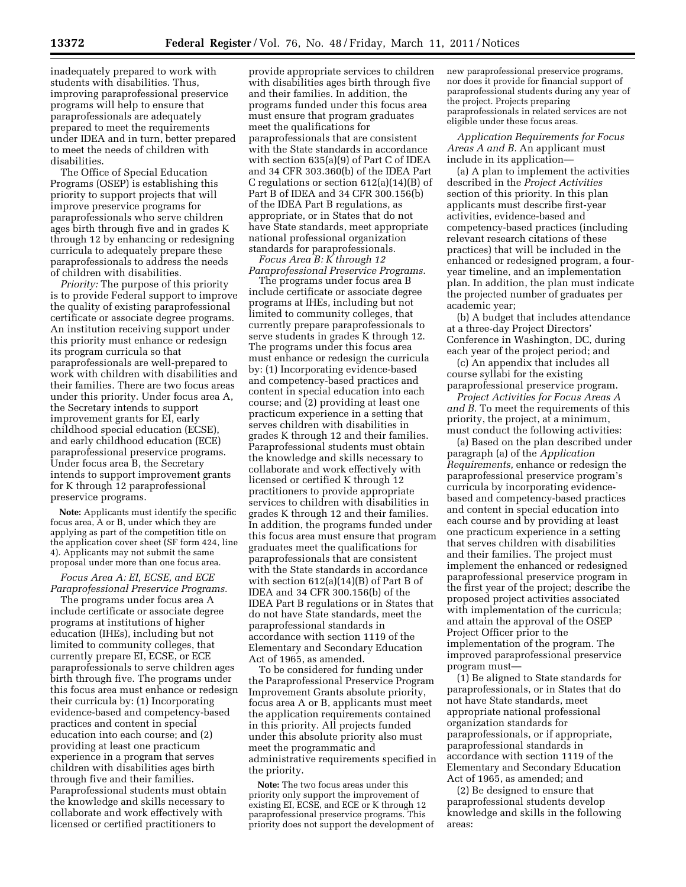inadequately prepared to work with students with disabilities. Thus, improving paraprofessional preservice programs will help to ensure that paraprofessionals are adequately prepared to meet the requirements under IDEA and in turn, better prepared to meet the needs of children with disabilities.

The Office of Special Education Programs (OSEP) is establishing this priority to support projects that will improve preservice programs for paraprofessionals who serve children ages birth through five and in grades K through 12 by enhancing or redesigning curricula to adequately prepare these paraprofessionals to address the needs of children with disabilities.

*Priority:* The purpose of this priority is to provide Federal support to improve the quality of existing paraprofessional certificate or associate degree programs. An institution receiving support under this priority must enhance or redesign its program curricula so that paraprofessionals are well-prepared to work with children with disabilities and their families. There are two focus areas under this priority. Under focus area A, the Secretary intends to support improvement grants for EI, early childhood special education (ECSE), and early childhood education (ECE) paraprofessional preservice programs. Under focus area B, the Secretary intends to support improvement grants for K through 12 paraprofessional preservice programs.

**Note:** Applicants must identify the specific focus area, A or B, under which they are applying as part of the competition title on the application cover sheet (SF form 424, line 4). Applicants may not submit the same proposal under more than one focus area.

# *Focus Area A: EI, ECSE, and ECE Paraprofessional Preservice Programs.*

The programs under focus area A include certificate or associate degree programs at institutions of higher education (IHEs), including but not limited to community colleges, that currently prepare EI, ECSE, or ECE paraprofessionals to serve children ages birth through five. The programs under this focus area must enhance or redesign their curricula by: (1) Incorporating evidence-based and competency-based practices and content in special education into each course; and (2) providing at least one practicum experience in a program that serves children with disabilities ages birth through five and their families. Paraprofessional students must obtain the knowledge and skills necessary to collaborate and work effectively with licensed or certified practitioners to

provide appropriate services to children with disabilities ages birth through five and their families. In addition, the programs funded under this focus area must ensure that program graduates meet the qualifications for paraprofessionals that are consistent with the State standards in accordance with section 635(a)(9) of Part C of IDEA and 34 CFR 303.360(b) of the IDEA Part C regulations or section 612(a)(14)(B) of Part B of IDEA and 34 CFR 300.156(b) of the IDEA Part B regulations, as appropriate, or in States that do not have State standards, meet appropriate national professional organization standards for paraprofessionals.

*Focus Area B: K through 12 Paraprofessional Preservice Programs.* 

The programs under focus area B include certificate or associate degree programs at IHEs, including but not limited to community colleges, that currently prepare paraprofessionals to serve students in grades K through 12. The programs under this focus area must enhance or redesign the curricula by: (1) Incorporating evidence-based and competency-based practices and content in special education into each course; and (2) providing at least one practicum experience in a setting that serves children with disabilities in grades K through 12 and their families. Paraprofessional students must obtain the knowledge and skills necessary to collaborate and work effectively with licensed or certified K through 12 practitioners to provide appropriate services to children with disabilities in grades K through 12 and their families. In addition, the programs funded under this focus area must ensure that program graduates meet the qualifications for paraprofessionals that are consistent with the State standards in accordance with section 612(a)(14)(B) of Part B of IDEA and 34 CFR 300.156(b) of the IDEA Part B regulations or in States that do not have State standards, meet the paraprofessional standards in accordance with section 1119 of the Elementary and Secondary Education Act of 1965, as amended.

To be considered for funding under the Paraprofessional Preservice Program Improvement Grants absolute priority, focus area A or B, applicants must meet the application requirements contained in this priority. All projects funded under this absolute priority also must meet the programmatic and administrative requirements specified in the priority.

**Note:** The two focus areas under this priority only support the improvement of existing EI, ECSE, and ECE or K through 12 paraprofessional preservice programs. This priority does not support the development of new paraprofessional preservice programs, nor does it provide for financial support of paraprofessional students during any year of the project. Projects preparing paraprofessionals in related services are not eligible under these focus areas.

*Application Requirements for Focus Areas A and B.* An applicant must include in its application—

(a) A plan to implement the activities described in the *Project Activities*  section of this priority. In this plan applicants must describe first-year activities, evidence-based and competency-based practices (including relevant research citations of these practices) that will be included in the enhanced or redesigned program, a fouryear timeline, and an implementation plan. In addition, the plan must indicate the projected number of graduates per academic year;

(b) A budget that includes attendance at a three-day Project Directors' Conference in Washington, DC, during each year of the project period; and

(c) An appendix that includes all course syllabi for the existing paraprofessional preservice program.

*Project Activities for Focus Areas A and B.* To meet the requirements of this priority, the project, at a minimum, must conduct the following activities:

(a) Based on the plan described under paragraph (a) of the *Application Requirements,* enhance or redesign the paraprofessional preservice program's curricula by incorporating evidencebased and competency-based practices and content in special education into each course and by providing at least one practicum experience in a setting that serves children with disabilities and their families. The project must implement the enhanced or redesigned paraprofessional preservice program in the first year of the project; describe the proposed project activities associated with implementation of the curricula; and attain the approval of the OSEP Project Officer prior to the implementation of the program. The improved paraprofessional preservice program must—

(1) Be aligned to State standards for paraprofessionals, or in States that do not have State standards, meet appropriate national professional organization standards for paraprofessionals, or if appropriate, paraprofessional standards in accordance with section 1119 of the Elementary and Secondary Education Act of 1965, as amended; and

(2) Be designed to ensure that paraprofessional students develop knowledge and skills in the following areas: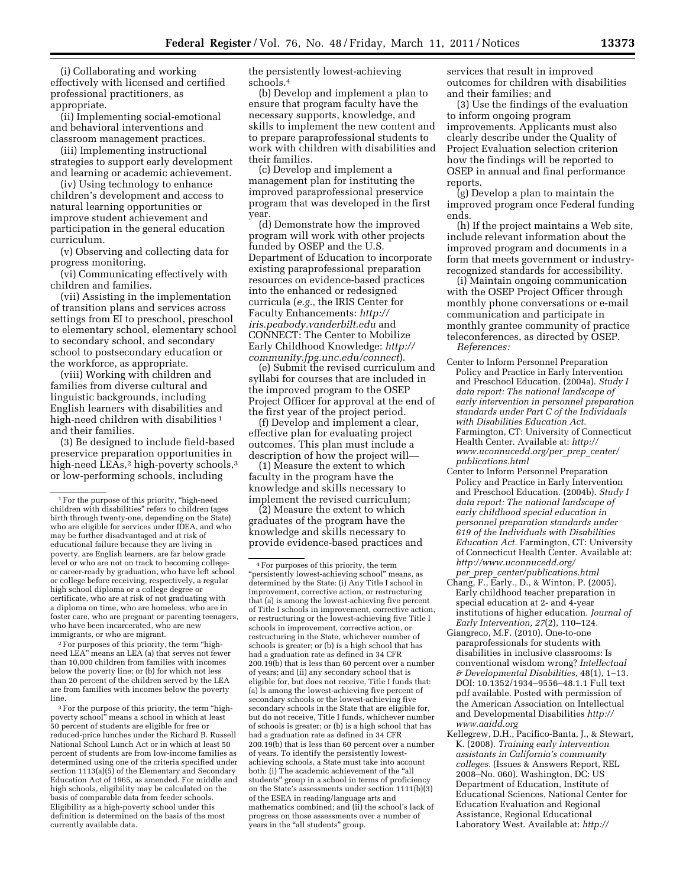(i) Collaborating and working effectively with licensed and certified professional practitioners, as appropriate.

(ii) Implementing social-emotional and behavioral interventions and classroom management practices.

(iii) Implementing instructional strategies to support early development and learning or academic achievement.

(iv) Using technology to enhance children's development and access to natural learning opportunities or improve student achievement and participation in the general education curriculum.

(v) Observing and collecting data for progress monitoring.

(vi) Communicating effectively with children and families.

(vii) Assisting in the implementation of transition plans and services across settings from EI to preschool, preschool to elementary school, elementary school to secondary school, and secondary school to postsecondary education or the workforce, as appropriate.

(viii) Working with children and families from diverse cultural and linguistic backgrounds, including English learners with disabilities and high-need children with disabilities<sup>1</sup> and their families.

(3) Be designed to include field-based preservice preparation opportunities in high-need LEAs,<sup>2</sup> high-poverty schools,<sup>3</sup> or low-performing schools, including

<sup>2</sup> For purposes of this priority, the term "highneed LEA'' means an LEA (a) that serves not fewer than 10,000 children from families with incomes below the poverty line; or (b) for which not less than 20 percent of the children served by the LEA are from families with incomes below the poverty line.

<sup>3</sup> For the purpose of this priority, the term "highpoverty school'' means a school in which at least 50 percent of students are eligible for free or reduced-price lunches under the Richard B. Russell National School Lunch Act or in which at least 50 percent of students are from low-income families as determined using one of the criteria specified under section 1113(a)(5) of the Elementary and Secondary Education Act of 1965, as amended. For middle and high schools, eligibility may be calculated on the basis of comparable data from feeder schools. Eligibility as a high-poverty school under this definition is determined on the basis of the most currently available data.

the persistently lowest-achieving schools.4

(b) Develop and implement a plan to ensure that program faculty have the necessary supports, knowledge, and skills to implement the new content and to prepare paraprofessional students to work with children with disabilities and their families.

(c) Develop and implement a management plan for instituting the improved paraprofessional preservice program that was developed in the first year.

(d) Demonstrate how the improved program will work with other projects funded by OSEP and the U.S. Department of Education to incorporate existing paraprofessional preparation resources on evidence-based practices into the enhanced or redesigned curricula (*e.g.,* the IRIS Center for Faculty Enhancements: *[http://](http://iris.peabody.vanderbilt.edu) [iris.peabody.vanderbilt.edu](http://iris.peabody.vanderbilt.edu)* and CONNECT: The Center to Mobilize Early Childhood Knowledge: *[http://](http://community.fpg.unc.edu/connect) [community.fpg.unc.edu/connect](http://community.fpg.unc.edu/connect)*).

(e) Submit the revised curriculum and syllabi for courses that are included in the improved program to the OSEP Project Officer for approval at the end of the first year of the project period.

(f) Develop and implement a clear, effective plan for evaluating project outcomes. This plan must include a description of how the project will—

(1) Measure the extent to which faculty in the program have the knowledge and skills necessary to implement the revised curriculum;

(2) Measure the extent to which graduates of the program have the knowledge and skills necessary to provide evidence-based practices and services that result in improved outcomes for children with disabilities and their families; and

(3) Use the findings of the evaluation to inform ongoing program improvements. Applicants must also clearly describe under the Quality of Project Evaluation selection criterion how the findings will be reported to OSEP in annual and final performance reports.

(g) Develop a plan to maintain the improved program once Federal funding ends.

(h) If the project maintains a Web site, include relevant information about the improved program and documents in a form that meets government or industryrecognized standards for accessibility.

(i) Maintain ongoing communication with the OSEP Project Officer through monthly phone conversations or e-mail communication and participate in monthly grantee community of practice teleconferences, as directed by OSEP. *References:* 

- Center to Inform Personnel Preparation Policy and Practice in Early Intervention and Preschool Education. (2004a). *Study I data report: The national landscape of early intervention in personnel preparation standards under Part C of the Individuals with Disabilities Education Act.*  Farmington, CT: University of Connecticut Health Center. Available at: *[http://](http://www.uconnucedd.org/per_prep_center/publications.html) [www.uconnucedd.org/per](http://www.uconnucedd.org/per_prep_center/publications.html)*\_*prep*\_*center/ [publications.html](http://www.uconnucedd.org/per_prep_center/publications.html)*
- Center to Inform Personnel Preparation Policy and Practice in Early Intervention and Preschool Education. (2004b). *Study I data report: The national landscape of early childhood special education in personnel preparation standards under 619 of the Individuals with Disabilities Education Act.* Farmington, CT: University of Connecticut Health Center. Available at: *[http://www.uconnucedd.org/](http://www.uconnucedd.org/per_prep_center/publications.html)  per*\_*prep*\_*[center/publications.html](http://www.uconnucedd.org/per_prep_center/publications.html)*
- Chang, F., Early., D., & Winton, P. (2005). Early childhood teacher preparation in special education at 2- and 4-year institutions of higher education. *Journal of Early Intervention, 27*(2), 110–124.
- Giangreco, M.F. (2010). One-to-one paraprofessionals for students with disabilities in inclusive classrooms: Is conventional wisdom wrong? *Intellectual & Developmental Disabilities,* 48(1), 1–13. DOI: 10.1352/1934–9556–48.1.1 Full text pdf available. Posted with permission of the American Association on Intellectual and Developmental Disabilities *[http://](http://www.aaidd.org)  [www.aaidd.org](http://www.aaidd.org)*
- Kellegrew, D.H., Pacifico-Banta, J., & Stewart, K. (2008). *Training early intervention assistants in California's community colleges.* (Issues & Answers Report, REL 2008–No. 060). Washington, DC: US Department of Education, Institute of Educational Sciences, National Center for Education Evaluation and Regional Assistance, Regional Educational Laboratory West. Available at: *[http://](http://ies.ed.gov/ncee/edlabs/projects/project.asp?ProjectID=165)*

<sup>1</sup>For the purpose of this priority, ''high-need children with disabilities'' refers to children (ages birth through twenty-one, depending on the State) who are eligible for services under IDEA, and who may be further disadvantaged and at risk of educational failure because they are living in poverty, are English learners, are far below grade level or who are not on track to becoming collegeor career-ready by graduation, who have left school or college before receiving, respectively, a regular high school diploma or a college degree or certificate, who are at risk of not graduating with a diploma on time, who are homeless, who are in foster care, who are pregnant or parenting teenagers, who have been incarcerated, who are new immigrants, or who are migrant.

<sup>4</sup>For purposes of this priority, the term ''persistently lowest-achieving school'' means, as determined by the State: (i) Any Title I school in improvement, corrective action, or restructuring that (a) is among the lowest-achieving five percent of Title I schools in improvement, corrective action, or restructuring or the lowest-achieving five Title I schools in improvement, corrective action, or restructuring in the State, whichever number of schools is greater; or (b) is a high school that has had a graduation rate as defined in 34 CFR 200.19(b) that is less than 60 percent over a number of years; and (ii) any secondary school that is eligible for, but does not receive, Title I funds that: (a) Is among the lowest-achieving five percent of secondary schools or the lowest-achieving five secondary schools in the State that are eligible for, but do not receive, Title I funds, whichever number of schools is greater; or (b) is a high school that has had a graduation rate as defined in 34 CFR 200.19(b) that is less than 60 percent over a number of years. To identify the persistently lowestachieving schools, a State must take into account both: (i) The academic achievement of the ''all students'' group in a school in terms of proficiency on the State's assessments under section 1111(b)(3) of the ESEA in reading/language arts and mathematics combined; and (ii) the school's lack of progress on those assessments over a number of years in the "all students" group.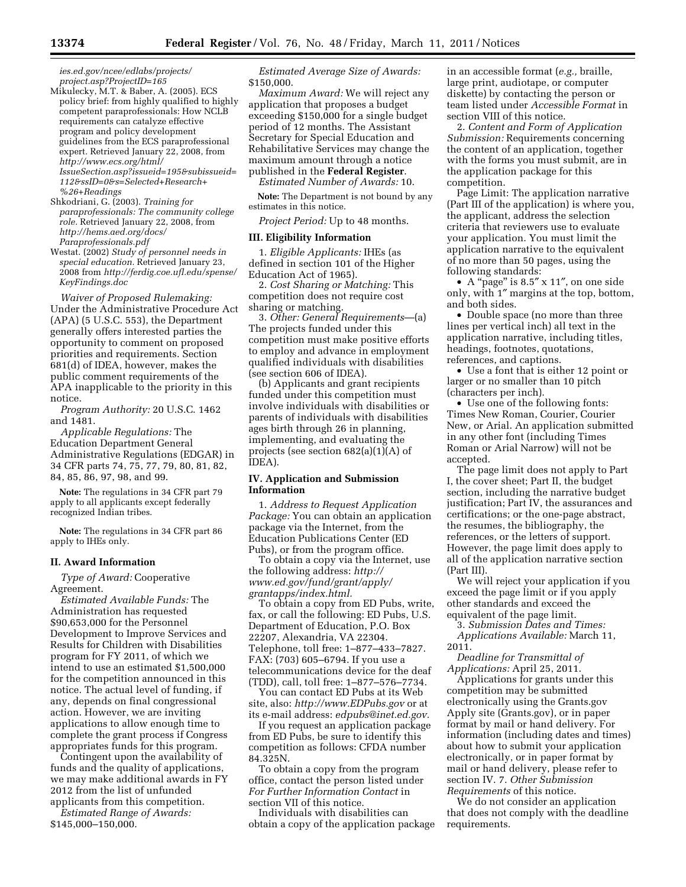*[ies.ed.gov/ncee/edlabs/projects/](http://ies.ed.gov/ncee/edlabs/projects/project.asp?ProjectID=165)  project.asp?ProjectID=165* 

Mikulecky, M.T. & Baber, A. (2005). ECS policy brief: from highly qualified to highly competent paraprofessionals: How NCLB requirements can catalyze effective program and policy development guidelines from the ECS paraprofessional expert*.* Retrieved January 22, 2008, from *[http://www.ecs.org/html/](http://www.ecs.org/html/IssueSection.asp?issueid=195&subissueid=112&ssID=0&s=Selected+Research+%26+Readings)  [IssueSection.asp?issueid=195&subissueid=](http://www.ecs.org/html/IssueSection.asp?issueid=195&subissueid=112&ssID=0&s=Selected+Research+%26+Readings) [112&ssID=0&s=Selected+Research+](http://www.ecs.org/html/IssueSection.asp?issueid=195&subissueid=112&ssID=0&s=Selected+Research+%26+Readings) [%26+Readings](http://www.ecs.org/html/IssueSection.asp?issueid=195&subissueid=112&ssID=0&s=Selected+Research+%26+Readings)* 

Shkodriani, G. (2003). *Training for paraprofessionals: The community college role.* Retrieved January 22, 2008, from *[http://hems.aed.org/docs/](http://hems.aed.org/docs/Paraprofessionals.pdf)  [Paraprofessionals.pdf](http://hems.aed.org/docs/Paraprofessionals.pdf)* 

Westat. (2002) *Study of personnel needs in special education.* Retrieved January 23, 2008 from *[http://ferdig.coe.ufl.edu/spense/](http://ferdig.coe.ufl.edu/spense/KeyFindings.doc) [KeyFindings.doc](http://ferdig.coe.ufl.edu/spense/KeyFindings.doc)* 

*Waiver of Proposed Rulemaking:*  Under the Administrative Procedure Act (APA) (5 U.S.C. 553), the Department generally offers interested parties the opportunity to comment on proposed priorities and requirements. Section 681(d) of IDEA, however, makes the public comment requirements of the APA inapplicable to the priority in this notice.

*Program Authority:* 20 U.S.C. 1462 and 1481.

*Applicable Regulations:* The Education Department General Administrative Regulations (EDGAR) in 34 CFR parts 74, 75, 77, 79, 80, 81, 82, 84, 85, 86, 97, 98, and 99.

**Note:** The regulations in 34 CFR part 79 apply to all applicants except federally recognized Indian tribes.

**Note:** The regulations in 34 CFR part 86 apply to IHEs only.

# **II. Award Information**

*Type of Award:* Cooperative Agreement.

*Estimated Available Funds:* The Administration has requested \$90,653,000 for the Personnel Development to Improve Services and Results for Children with Disabilities program for FY 2011, of which we intend to use an estimated \$1,500,000 for the competition announced in this notice. The actual level of funding, if any, depends on final congressional action. However, we are inviting applications to allow enough time to complete the grant process if Congress appropriates funds for this program.

Contingent upon the availability of funds and the quality of applications, we may make additional awards in FY 2012 from the list of unfunded applicants from this competition.

*Estimated Range of Awards:*  \$145,000–150,000.

*Estimated Average Size of Awards:*  \$150,000.

*Maximum Award:* We will reject any application that proposes a budget exceeding \$150,000 for a single budget period of 12 months. The Assistant Secretary for Special Education and Rehabilitative Services may change the maximum amount through a notice published in the **Federal Register**.

*Estimated Number of Awards:* 10.

**Note:** The Department is not bound by any estimates in this notice.

*Project Period:* Up to 48 months.

# **III. Eligibility Information**

1. *Eligible Applicants:* IHEs (as defined in section 101 of the Higher Education Act of 1965).

2. *Cost Sharing or Matching:* This competition does not require cost sharing or matching.

3. *Other: General Requirements*—(a) The projects funded under this competition must make positive efforts to employ and advance in employment qualified individuals with disabilities (see section 606 of IDEA).

(b) Applicants and grant recipients funded under this competition must involve individuals with disabilities or parents of individuals with disabilities ages birth through 26 in planning, implementing, and evaluating the projects (see section 682(a)(1)(A) of IDEA).

# **IV. Application and Submission Information**

1. *Address to Request Application Package:* You can obtain an application package via the Internet, from the Education Publications Center (ED Pubs), or from the program office.

To obtain a copy via the Internet, use the following address: *[http://](http://www.ed.gov/fund/grant/apply/grantapps/index.html) [www.ed.gov/fund/grant/apply/](http://www.ed.gov/fund/grant/apply/grantapps/index.html) [grantapps/index.html.](http://www.ed.gov/fund/grant/apply/grantapps/index.html)* 

To obtain a copy from ED Pubs, write, fax, or call the following: ED Pubs, U.S. Department of Education, P.O. Box 22207, Alexandria, VA 22304. Telephone, toll free: 1–877–433–7827. FAX: (703) 605–6794. If you use a telecommunications device for the deaf (TDD), call, toll free: 1–877–576–7734.

You can contact ED Pubs at its Web site, also: *<http://www.EDPubs.gov>* or at its e-mail address: *[edpubs@inet.ed.gov.](mailto:edpubs@inet.ed.gov)* 

If you request an application package from ED Pubs, be sure to identify this competition as follows: CFDA number 84.325N.

To obtain a copy from the program office, contact the person listed under *For Further Information Contact* in section VII of this notice.

Individuals with disabilities can obtain a copy of the application package in an accessible format (*e.g.,* braille, large print, audiotape, or computer diskette) by contacting the person or team listed under *Accessible Format* in section VIII of this notice.

2. *Content and Form of Application Submission:* Requirements concerning the content of an application, together with the forms you must submit, are in the application package for this competition.

Page Limit: The application narrative (Part III of the application) is where you, the applicant, address the selection criteria that reviewers use to evaluate your application. You must limit the application narrative to the equivalent of no more than 50 pages, using the following standards:

• A "page" is 8.5" x 11", on one side only, with 1″ margins at the top, bottom, and both sides.

• Double space (no more than three lines per vertical inch) all text in the application narrative, including titles, headings, footnotes, quotations, references, and captions.

• Use a font that is either 12 point or larger or no smaller than 10 pitch (characters per inch).

• Use one of the following fonts: Times New Roman, Courier, Courier New, or Arial. An application submitted in any other font (including Times Roman or Arial Narrow) will not be accepted.

The page limit does not apply to Part I, the cover sheet; Part II, the budget section, including the narrative budget justification; Part IV, the assurances and certifications; or the one-page abstract, the resumes, the bibliography, the references, or the letters of support. However, the page limit does apply to all of the application narrative section (Part III).

We will reject your application if you exceed the page limit or if you apply other standards and exceed the equivalent of the page limit.

3. *Submission Dates and Times: Applications Available:* March 11, 2011.

*Deadline for Transmittal of Applications:* April 25, 2011.

Applications for grants under this competition may be submitted electronically using the Grants.gov Apply site (Grants.gov), or in paper format by mail or hand delivery. For information (including dates and times) about how to submit your application electronically, or in paper format by mail or hand delivery, please refer to section IV. 7. *Other Submission Requirements* of this notice.

We do not consider an application that does not comply with the deadline requirements.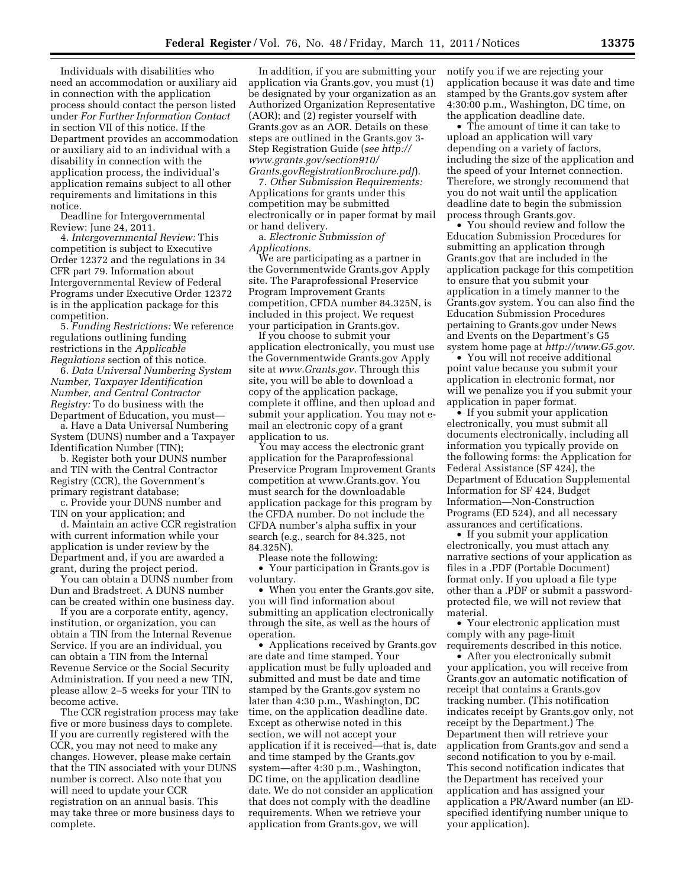Individuals with disabilities who need an accommodation or auxiliary aid in connection with the application process should contact the person listed under *For Further Information Contact*  in section VII of this notice. If the Department provides an accommodation or auxiliary aid to an individual with a disability in connection with the application process, the individual's application remains subject to all other requirements and limitations in this notice.

Deadline for Intergovernmental Review: June 24, 2011.

4. *Intergovernmental Review:* This competition is subject to Executive Order 12372 and the regulations in 34 CFR part 79. Information about Intergovernmental Review of Federal Programs under Executive Order 12372 is in the application package for this competition.

5. *Funding Restrictions:* We reference regulations outlining funding restrictions in the *Applicable Regulations* section of this notice.

6. *Data Universal Numbering System Number, Taxpayer Identification Number, and Central Contractor Registry:* To do business with the Department of Education, you must—

a. Have a Data Universal Numbering System (DUNS) number and a Taxpayer Identification Number (TIN);

b. Register both your DUNS number and TIN with the Central Contractor Registry (CCR), the Government's primary registrant database;

c. Provide your DUNS number and TIN on your application; and

d. Maintain an active CCR registration with current information while your application is under review by the Department and, if you are awarded a grant, during the project period.

You can obtain a DUNS number from Dun and Bradstreet. A DUNS number can be created within one business day.

If you are a corporate entity, agency, institution, or organization, you can obtain a TIN from the Internal Revenue Service. If you are an individual, you can obtain a TIN from the Internal Revenue Service or the Social Security Administration. If you need a new TIN, please allow 2–5 weeks for your TIN to become active.

The CCR registration process may take five or more business days to complete. If you are currently registered with the CCR, you may not need to make any changes. However, please make certain that the TIN associated with your DUNS number is correct. Also note that you will need to update your CCR registration on an annual basis. This may take three or more business days to complete.

In addition, if you are submitting your application via Grants.gov, you must (1) be designated by your organization as an Authorized Organization Representative (AOR); and (2) register yourself with Grants.gov as an AOR. Details on these steps are outlined in the Grants.gov 3- Step Registration Guide (*see [http://](http://www.grants.gov/section910/Grants.govRegistrationBrochure.pdf) [www.grants.gov/section910/](http://www.grants.gov/section910/Grants.govRegistrationBrochure.pdf)  [Grants.govRegistrationBrochure.pdf](http://www.grants.gov/section910/Grants.govRegistrationBrochure.pdf)*).

7. *Other Submission Requirements:* 

Applications for grants under this competition may be submitted electronically or in paper format by mail or hand delivery.

a. *Electronic Submission of Applications.* 

We are participating as a partner in the Governmentwide Grants.gov Apply site. The Paraprofessional Preservice Program Improvement Grants competition, CFDA number 84.325N, is included in this project. We request your participation in Grants.gov.

If you choose to submit your application electronically, you must use the Governmentwide Grants.gov Apply site at *[www.Grants.gov.](http://www.Grants.gov)* Through this site, you will be able to download a copy of the application package, complete it offline, and then upload and submit your application. You may not email an electronic copy of a grant application to us.

You may access the electronic grant application for the Paraprofessional Preservice Program Improvement Grants competition at [www.Grants.gov.](http://www.Grants.gov) You must search for the downloadable application package for this program by the CFDA number. Do not include the CFDA number's alpha suffix in your search (e.g., search for 84.325, not 84.325N).

Please note the following:

• Your participation in Grants.gov is voluntary.

• When you enter the Grants.gov site, you will find information about submitting an application electronically through the site, as well as the hours of operation.

• Applications received by Grants.gov are date and time stamped. Your application must be fully uploaded and submitted and must be date and time stamped by the Grants.gov system no later than 4:30 p.m., Washington, DC time, on the application deadline date. Except as otherwise noted in this section, we will not accept your application if it is received—that is, date and time stamped by the Grants.gov system—after 4:30 p.m., Washington, DC time, on the application deadline date. We do not consider an application that does not comply with the deadline requirements. When we retrieve your application from Grants.gov, we will

notify you if we are rejecting your application because it was date and time stamped by the Grants.gov system after 4:30:00 p.m., Washington, DC time, on the application deadline date.

• The amount of time it can take to upload an application will vary depending on a variety of factors, including the size of the application and the speed of your Internet connection. Therefore, we strongly recommend that you do not wait until the application deadline date to begin the submission process through Grants.gov.

• You should review and follow the Education Submission Procedures for submitting an application through Grants.gov that are included in the application package for this competition to ensure that you submit your application in a timely manner to the Grants.gov system. You can also find the Education Submission Procedures pertaining to Grants.gov under News and Events on the Department's G5 system home page at *[http://www.G5.gov.](http://www.G5.gov)* 

• You will not receive additional point value because you submit your application in electronic format, nor will we penalize you if you submit your application in paper format.

• If you submit your application electronically, you must submit all documents electronically, including all information you typically provide on the following forms: the Application for Federal Assistance (SF 424), the Department of Education Supplemental Information for SF 424, Budget Information—Non-Construction Programs (ED 524), and all necessary assurances and certifications.

• If you submit your application electronically, you must attach any narrative sections of your application as files in a .PDF (Portable Document) format only. If you upload a file type other than a .PDF or submit a passwordprotected file, we will not review that material.

• Your electronic application must comply with any page-limit requirements described in this notice.

• After you electronically submit your application, you will receive from Grants.gov an automatic notification of receipt that contains a Grants.gov tracking number. (This notification indicates receipt by Grants.gov only, not receipt by the Department.) The Department then will retrieve your application from Grants.gov and send a second notification to you by e-mail. This second notification indicates that the Department has received your application and has assigned your application a PR/Award number (an EDspecified identifying number unique to your application).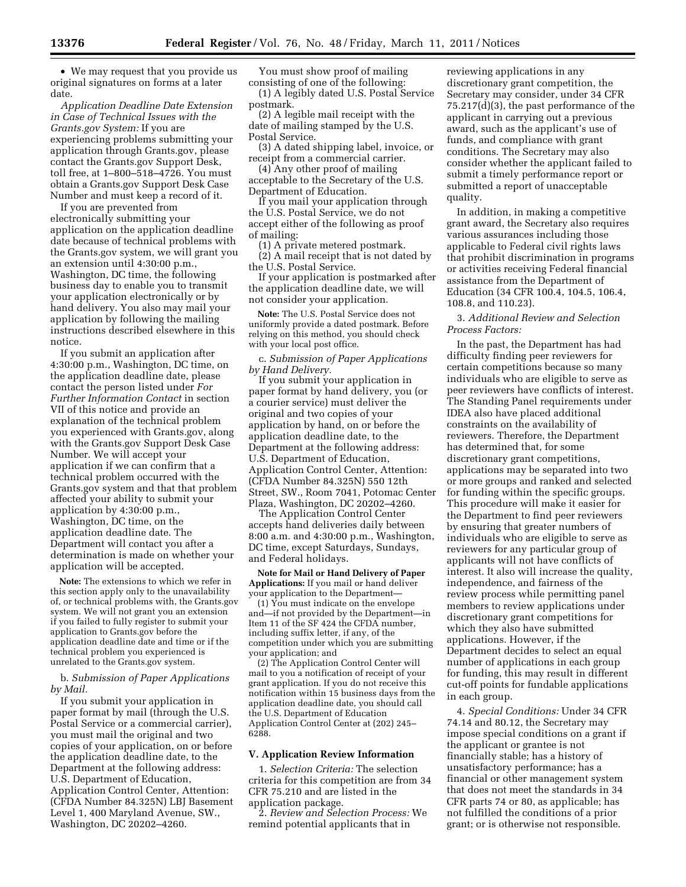• We may request that you provide us original signatures on forms at a later date.

*Application Deadline Date Extension in Case of Technical Issues with the Grants.gov System:* If you are experiencing problems submitting your application through Grants.gov, please contact the Grants.gov Support Desk, toll free, at 1–800–518–4726. You must obtain a Grants.gov Support Desk Case Number and must keep a record of it.

If you are prevented from electronically submitting your application on the application deadline date because of technical problems with the Grants.gov system, we will grant you an extension until 4:30:00 p.m., Washington, DC time, the following business day to enable you to transmit your application electronically or by hand delivery. You also may mail your application by following the mailing instructions described elsewhere in this notice.

If you submit an application after 4:30:00 p.m., Washington, DC time, on the application deadline date, please contact the person listed under *For Further Information Contact* in section VII of this notice and provide an explanation of the technical problem you experienced with Grants.gov, along with the Grants.gov Support Desk Case Number. We will accept your application if we can confirm that a technical problem occurred with the Grants.gov system and that that problem affected your ability to submit your application by 4:30:00 p.m., Washington, DC time, on the application deadline date. The Department will contact you after a determination is made on whether your application will be accepted.

**Note:** The extensions to which we refer in this section apply only to the unavailability of, or technical problems with, the Grants.gov system. We will not grant you an extension if you failed to fully register to submit your application to Grants.gov before the application deadline date and time or if the technical problem you experienced is unrelated to the Grants.gov system.

b. *Submission of Paper Applications by Mail.* 

If you submit your application in paper format by mail (through the U.S. Postal Service or a commercial carrier), you must mail the original and two copies of your application, on or before the application deadline date, to the Department at the following address: U.S. Department of Education, Application Control Center, Attention: (CFDA Number 84.325N) LBJ Basement Level 1, 400 Maryland Avenue, SW., Washington, DC 20202–4260.

You must show proof of mailing consisting of one of the following:

(1) A legibly dated U.S. Postal Service postmark.

(2) A legible mail receipt with the date of mailing stamped by the U.S. Postal Service.

(3) A dated shipping label, invoice, or receipt from a commercial carrier.

(4) Any other proof of mailing acceptable to the Secretary of the U.S. Department of Education.

If you mail your application through the U.S. Postal Service, we do not accept either of the following as proof of mailing:

(1) A private metered postmark. (2) A mail receipt that is not dated by the U.S. Postal Service.

If your application is postmarked after the application deadline date, we will not consider your application.

**Note:** The U.S. Postal Service does not uniformly provide a dated postmark. Before relying on this method, you should check with your local post office.

c. *Submission of Paper Applications by Hand Delivery.* 

If you submit your application in paper format by hand delivery, you (or a courier service) must deliver the original and two copies of your application by hand, on or before the application deadline date, to the Department at the following address: U.S. Department of Education, Application Control Center, Attention: (CFDA Number 84.325N) 550 12th Street, SW., Room 7041, Potomac Center Plaza, Washington, DC 20202–4260.

The Application Control Center accepts hand deliveries daily between 8:00 a.m. and 4:30:00 p.m., Washington, DC time, except Saturdays, Sundays, and Federal holidays.

**Note for Mail or Hand Delivery of Paper Applications:** If you mail or hand deliver your application to the Department—

(1) You must indicate on the envelope and—if not provided by the Department—in Item 11 of the SF 424 the CFDA number, including suffix letter, if any, of the competition under which you are submitting your application; and

(2) The Application Control Center will mail to you a notification of receipt of your grant application. If you do not receive this notification within 15 business days from the application deadline date, you should call the U.S. Department of Education Application Control Center at (202) 245– 6288.

#### **V. Application Review Information**

1. *Selection Criteria:* The selection criteria for this competition are from 34 CFR 75.210 and are listed in the application package.

2. *Review and Selection Process:* We remind potential applicants that in

reviewing applications in any discretionary grant competition, the Secretary may consider, under 34 CFR 75.217(d)(3), the past performance of the applicant in carrying out a previous award, such as the applicant's use of funds, and compliance with grant conditions. The Secretary may also consider whether the applicant failed to submit a timely performance report or submitted a report of unacceptable quality.

In addition, in making a competitive grant award, the Secretary also requires various assurances including those applicable to Federal civil rights laws that prohibit discrimination in programs or activities receiving Federal financial assistance from the Department of Education (34 CFR 100.4, 104.5, 106.4, 108.8, and 110.23).

# 3. *Additional Review and Selection Process Factors:*

In the past, the Department has had difficulty finding peer reviewers for certain competitions because so many individuals who are eligible to serve as peer reviewers have conflicts of interest. The Standing Panel requirements under IDEA also have placed additional constraints on the availability of reviewers. Therefore, the Department has determined that, for some discretionary grant competitions, applications may be separated into two or more groups and ranked and selected for funding within the specific groups. This procedure will make it easier for the Department to find peer reviewers by ensuring that greater numbers of individuals who are eligible to serve as reviewers for any particular group of applicants will not have conflicts of interest. It also will increase the quality, independence, and fairness of the review process while permitting panel members to review applications under discretionary grant competitions for which they also have submitted applications. However, if the Department decides to select an equal number of applications in each group for funding, this may result in different cut-off points for fundable applications in each group.

4. *Special Conditions:* Under 34 CFR 74.14 and 80.12, the Secretary may impose special conditions on a grant if the applicant or grantee is not financially stable; has a history of unsatisfactory performance; has a financial or other management system that does not meet the standards in 34 CFR parts 74 or 80, as applicable; has not fulfilled the conditions of a prior grant; or is otherwise not responsible.